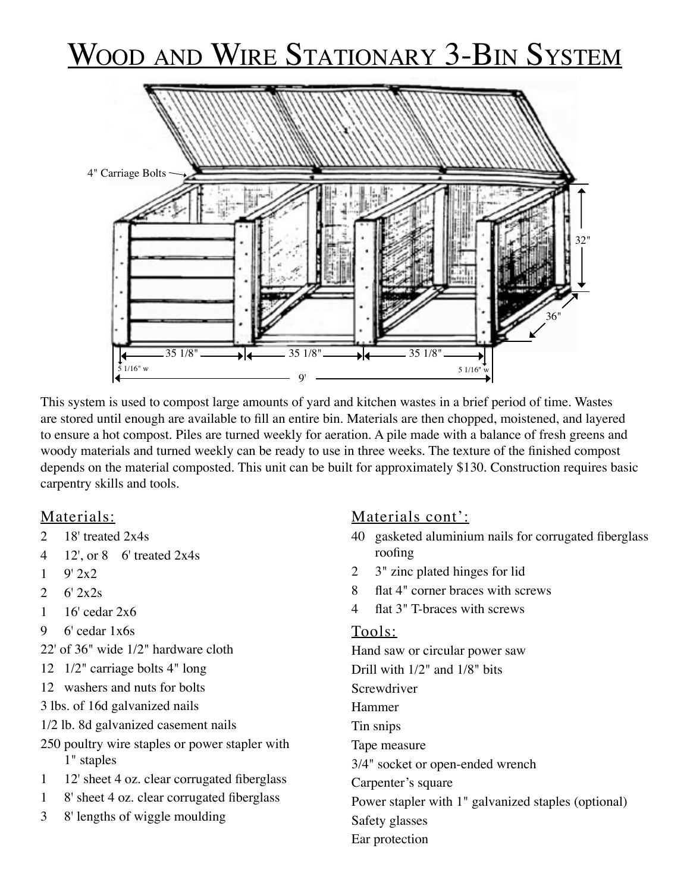# WOOD AND WIRE STATIONARY 3-BIN SYSTEM



This system is used to compost large amounts of yard and kitchen wastes in a brief period of time. Wastes are stored until enough are available to fill an entire bin. Materials are then chopped, moistened, and layered to ensure a hot compost. Piles are turned weekly for aeration. A pile made with a balance of fresh greens and woody materials and turned weekly can be ready to use in three weeks. The texture of the finished compost depends on the material composted. This unit can be built for approximately \$130. Construction requires basic carpentry skills and tools.

### Materials:

- 2 18' treated 2x4s
- 4 12', or 8 6' treated 2x4s
- $1 \t9' 2x2$
- 2  $6'$   $2x2s$
- 1 16' cedar 2x6
- 9 6' cedar 1x6s
- 22' of 36" wide 1/2" hardware cloth
- 12 1/2" carriage bolts 4" long
- 12 washers and nuts for bolts
- 3 lbs. of 16d galvanized nails
- 1/2 lb. 8d galvanized casement nails
- 250 poultry wire staples or power stapler with 1" staples
- 1 12' sheet 4 oz. clear corrugated fiberglass
- 1 8' sheet 4 oz. clear corrugated fiberglass
- 3 8' lengths of wiggle moulding

### Materials cont':

- 40 gasketed aluminium nails for corrugated fiberglass roofing
- 2 3" zinc plated hinges for lid
- 8 flat 4" corner braces with screws
- 4 flat 3" T-braces with screws

#### Tools:

Hand saw or circular power saw Drill with 1/2" and 1/8" bits Screwdriver Hammer Tin snips Tape measure 3/4" socket or open-ended wrench Carpenter's square Power stapler with 1" galvanized staples (optional) Safety glasses Ear protection